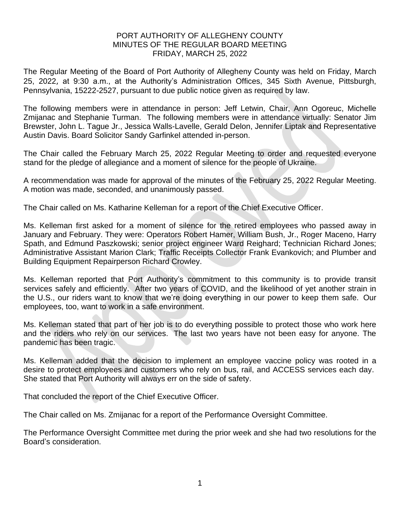## PORT AUTHORITY OF ALLEGHENY COUNTY MINUTES OF THE REGULAR BOARD MEETING FRIDAY, MARCH 25, 2022

The Regular Meeting of the Board of Port Authority of Allegheny County was held on Friday, March 25, 2022, at 9:30 a.m., at the Authority's Administration Offices, 345 Sixth Avenue, Pittsburgh, Pennsylvania, 15222-2527, pursuant to due public notice given as required by law.

The following members were in attendance in person: Jeff Letwin, Chair, Ann Ogoreuc, Michelle Zmijanac and Stephanie Turman. The following members were in attendance virtually: Senator Jim Brewster, John L. Tague Jr., Jessica Walls-Lavelle, Gerald Delon, Jennifer Liptak and Representative Austin Davis. Board Solicitor Sandy Garfinkel attended in-person.

The Chair called the February March 25, 2022 Regular Meeting to order and requested everyone stand for the pledge of allegiance and a moment of silence for the people of Ukraine.

A recommendation was made for approval of the minutes of the February 25, 2022 Regular Meeting. A motion was made, seconded, and unanimously passed.

The Chair called on Ms. Katharine Kelleman for a report of the Chief Executive Officer.

Ms. Kelleman first asked for a moment of silence for the retired employees who passed away in January and February. They were: Operators Robert Hamer, William Bush, Jr., Roger Maceno, Harry Spath, and Edmund Paszkowski; senior project engineer Ward Reighard; Technician Richard Jones; Administrative Assistant Marion Clark; Traffic Receipts Collector Frank Evankovich; and Plumber and Building Equipment Repairperson Richard Crowley.

Ms. Kelleman reported that Port Authority's commitment to this community is to provide transit services safely and efficiently. After two years of COVID, and the likelihood of yet another strain in the U.S., our riders want to know that we're doing everything in our power to keep them safe. Our employees, too, want to work in a safe environment.

Ms. Kelleman stated that part of her job is to do everything possible to protect those who work here and the riders who rely on our services. The last two years have not been easy for anyone. The pandemic has been tragic.

Ms. Kelleman added that the decision to implement an employee vaccine policy was rooted in a desire to protect employees and customers who rely on bus, rail, and ACCESS services each day. She stated that Port Authority will always err on the side of safety.

That concluded the report of the Chief Executive Officer.

The Chair called on Ms. Zmijanac for a report of the Performance Oversight Committee.

The Performance Oversight Committee met during the prior week and she had two resolutions for the Board's consideration.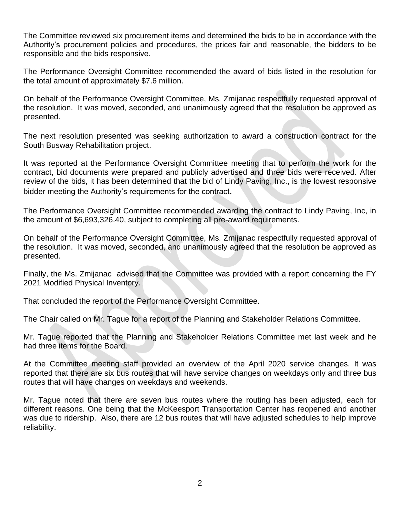The Committee reviewed six procurement items and determined the bids to be in accordance with the Authority's procurement policies and procedures, the prices fair and reasonable, the bidders to be responsible and the bids responsive.

The Performance Oversight Committee recommended the award of bids listed in the resolution for the total amount of approximately \$7.6 million.

On behalf of the Performance Oversight Committee, Ms. Zmijanac respectfully requested approval of the resolution. It was moved, seconded, and unanimously agreed that the resolution be approved as presented.

The next resolution presented was seeking authorization to award a construction contract for the South Busway Rehabilitation project.

It was reported at the Performance Oversight Committee meeting that to perform the work for the contract, bid documents were prepared and publicly advertised and three bids were received. After review of the bids, it has been determined that the bid of Lindy Paving, Inc., is the lowest responsive bidder meeting the Authority's requirements for the contract.

The Performance Oversight Committee recommended awarding the contract to Lindy Paving, Inc, in the amount of \$6,693,326.40, subject to completing all pre-award requirements.

On behalf of the Performance Oversight Committee, Ms. Zmijanac respectfully requested approval of the resolution. It was moved, seconded, and unanimously agreed that the resolution be approved as presented.

Finally, the Ms. Zmijanac advised that the Committee was provided with a report concerning the FY 2021 Modified Physical Inventory.

That concluded the report of the Performance Oversight Committee.

The Chair called on Mr. Tague for a report of the Planning and Stakeholder Relations Committee.

Mr. Tague reported that the Planning and Stakeholder Relations Committee met last week and he had three items for the Board.

At the Committee meeting staff provided an overview of the April 2020 service changes. It was reported that there are six bus routes that will have service changes on weekdays only and three bus routes that will have changes on weekdays and weekends.

Mr. Tague noted that there are seven bus routes where the routing has been adjusted, each for different reasons. One being that the McKeesport Transportation Center has reopened and another was due to ridership. Also, there are 12 bus routes that will have adjusted schedules to help improve reliability.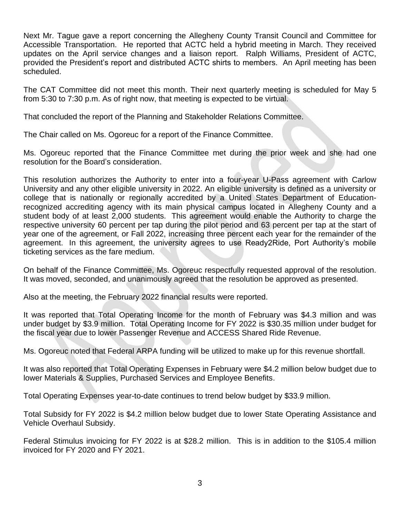Next Mr. Tague gave a report concerning the Allegheny County Transit Council and Committee for Accessible Transportation. He reported that ACTC held a hybrid meeting in March. They received updates on the April service changes and a liaison report. Ralph Williams, President of ACTC, provided the President's report and distributed ACTC shirts to members. An April meeting has been scheduled.

The CAT Committee did not meet this month. Their next quarterly meeting is scheduled for May 5 from 5:30 to 7:30 p.m. As of right now, that meeting is expected to be virtual.

That concluded the report of the Planning and Stakeholder Relations Committee.

The Chair called on Ms. Ogoreuc for a report of the Finance Committee.

Ms. Ogoreuc reported that the Finance Committee met during the prior week and she had one resolution for the Board's consideration.

This resolution authorizes the Authority to enter into a four-year U-Pass agreement with Carlow University and any other eligible university in 2022. An eligible university is defined as a university or college that is nationally or regionally accredited by a United States Department of Educationrecognized accrediting agency with its main physical campus located in Allegheny County and a student body of at least 2,000 students. This agreement would enable the Authority to charge the respective university 60 percent per tap during the pilot period and 63 percent per tap at the start of year one of the agreement, or Fall 2022, increasing three percent each year for the remainder of the agreement. In this agreement, the university agrees to use Ready2Ride, Port Authority's mobile ticketing services as the fare medium.

On behalf of the Finance Committee, Ms. Ogoreuc respectfully requested approval of the resolution. It was moved, seconded, and unanimously agreed that the resolution be approved as presented.

Also at the meeting, the February 2022 financial results were reported.

It was reported that Total Operating Income for the month of February was \$4.3 million and was under budget by \$3.9 million. Total Operating Income for FY 2022 is \$30.35 million under budget for the fiscal year due to lower Passenger Revenue and ACCESS Shared Ride Revenue.

Ms. Ogoreuc noted that Federal ARPA funding will be utilized to make up for this revenue shortfall.

It was also reported that Total Operating Expenses in February were \$4.2 million below budget due to lower Materials & Supplies, Purchased Services and Employee Benefits.

Total Operating Expenses year-to-date continues to trend below budget by \$33.9 million.

Total Subsidy for FY 2022 is \$4.2 million below budget due to lower State Operating Assistance and Vehicle Overhaul Subsidy.

Federal Stimulus invoicing for FY 2022 is at \$28.2 million. This is in addition to the \$105.4 million invoiced for FY 2020 and FY 2021.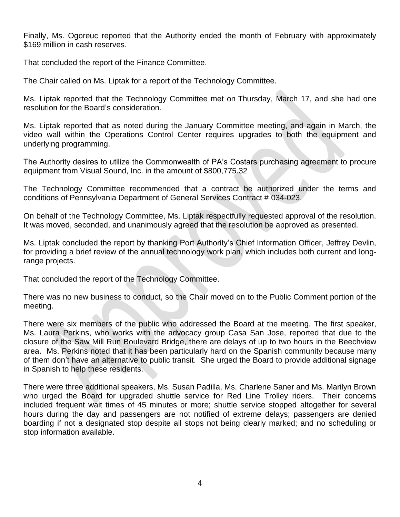Finally, Ms. Ogoreuc reported that the Authority ended the month of February with approximately \$169 million in cash reserves.

That concluded the report of the Finance Committee.

The Chair called on Ms. Liptak for a report of the Technology Committee.

Ms. Liptak reported that the Technology Committee met on Thursday, March 17, and she had one resolution for the Board's consideration.

Ms. Liptak reported that as noted during the January Committee meeting, and again in March, the video wall within the Operations Control Center requires upgrades to both the equipment and underlying programming.

The Authority desires to utilize the Commonwealth of PA's Costars purchasing agreement to procure equipment from Visual Sound, Inc. in the amount of \$800,775.32

The Technology Committee recommended that a contract be authorized under the terms and conditions of Pennsylvania Department of General Services Contract # 034-023.

On behalf of the Technology Committee, Ms. Liptak respectfully requested approval of the resolution. It was moved, seconded, and unanimously agreed that the resolution be approved as presented.

Ms. Liptak concluded the report by thanking Port Authority's Chief Information Officer, Jeffrey Devlin, for providing a brief review of the annual technology work plan, which includes both current and longrange projects.

That concluded the report of the Technology Committee.

There was no new business to conduct, so the Chair moved on to the Public Comment portion of the meeting.

There were six members of the public who addressed the Board at the meeting. The first speaker, Ms. Laura Perkins, who works with the advocacy group Casa San Jose, reported that due to the closure of the Saw Mill Run Boulevard Bridge, there are delays of up to two hours in the Beechview area. Ms. Perkins noted that it has been particularly hard on the Spanish community because many of them don't have an alternative to public transit. She urged the Board to provide additional signage in Spanish to help these residents.

There were three additional speakers, Ms. Susan Padilla, Ms. Charlene Saner and Ms. Marilyn Brown who urged the Board for upgraded shuttle service for Red Line Trolley riders. Their concerns included frequent wait times of 45 minutes or more; shuttle service stopped altogether for several hours during the day and passengers are not notified of extreme delays; passengers are denied boarding if not a designated stop despite all stops not being clearly marked; and no scheduling or stop information available.